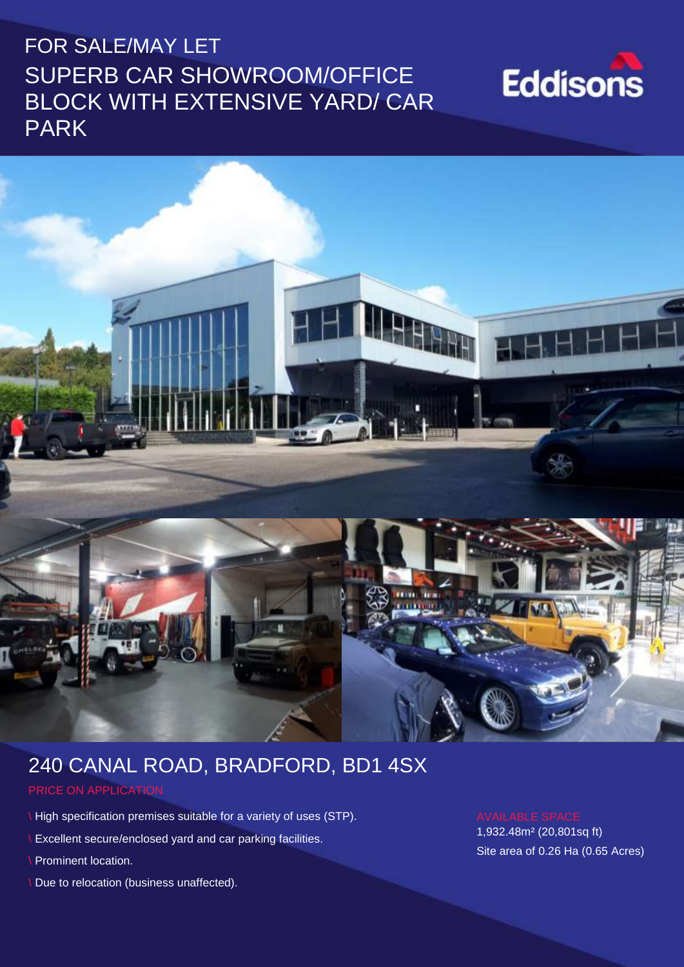# FOR SALE/MAY LET SUPERB CAR SHOWROOM/OFFICE BLOCK WITH EXTENSIVE YARD/ CAR PARK

# **Eddisons**



# 240 CANAL ROAD, BRADFORD, BD1 4SX

#### PRICE ON APPLICATION

- \ High specification premises suitable for a variety of uses (STP).
- \ Excellent secure/enclosed yard and car parking facilities.
- \ Prominent location.
- \ Due to relocation (business unaffected).

1,932.48m² (20,801sq ft) Site area of 0.26 Ha (0.65 Acres)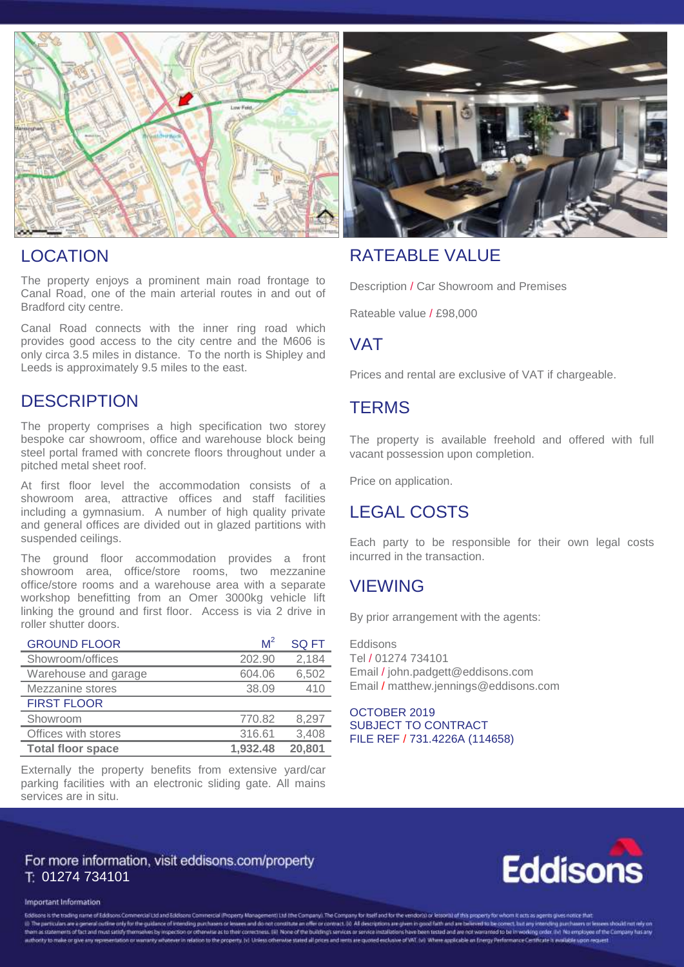



The property enjoys a prominent main road frontage to Canal Road, one of the main arterial routes in and out of Bradford city centre.

Canal Road connects with the inner ring road which provides good access to the city centre and the M606 is only circa 3.5 miles in distance. To the north is Shipley and Leeds is approximately 9.5 miles to the east.

#### **DESCRIPTION**

The property comprises a high specification two storey bespoke car showroom, office and warehouse block being steel portal framed with concrete floors throughout under a pitched metal sheet roof.

At first floor level the accommodation consists of a showroom area, attractive offices and staff facilities including a gymnasium. A number of high quality private and general offices are divided out in glazed partitions with suspended ceilings.

The ground floor accommodation provides a front showroom area, office/store rooms, two mezzanine office/store rooms and a warehouse area with a separate workshop benefitting from an Omer 3000kg vehicle lift linking the ground and first floor. Access is via 2 drive in roller shutter doors.

| <b>GROUND FLOOR</b>      | $M^2$    | <b>SQ FT</b> |
|--------------------------|----------|--------------|
| Showroom/offices         | 202.90   | 2,184        |
| Warehouse and garage     | 604.06   | 6,502        |
| Mezzanine stores         | 38.09    | 410          |
| <b>FIRST FLOOR</b>       |          |              |
| Showroom                 | 770.82   | 8,297        |
| Offices with stores      | 316.61   | 3,408        |
| <b>Total floor space</b> | 1.932.48 | 20,801       |

Externally the property benefits from extensive yard/car parking facilities with an electronic sliding gate. All mains services are in situ.



### RATEABLE VALUE

Description / Car Showroom and Premises

Rateable value / £98,000

### VAT

Prices and rental are exclusive of VAT if chargeable.

#### **TERMS**

The property is available freehold and offered with full vacant possession upon completion.

Price on application.

## LEGAL COSTS

Each party to be responsible for their own legal costs incurred in the transaction.

#### **VIEWING**

By prior arrangement with the agents:

Eddisons Tel / 01274 734101 Email / john.padgett@eddisons.com Email / matthew.jennings@eddisons.com

OCTOBER 2019 SUBJECT TO CONTRACT FILE REF / 731.4226A (114658)

#### For more information, visit eddisons.com/property 01274 734101



#### **Important Information**

Eddisors is the trading name of Eddisons Commercial Ltd and Eddisons Commercial (Roperty Management) Ltd (the Company for the Company for itself and for the vendorial or lesson)) of this property for whom it acts as agents (i) The particulars are opered outline ofly for the guidance of licensed particles or detection and constitution offer or consect it). At descriptions are given in good faith and are believed to be converted in any relevan authority to make or give any representation or warvarily whatever in relation to the property, hit Unless otherwise stated all prices and rents are purped exclusive of WIT. Mil Where applicable an Energy Performance Certi